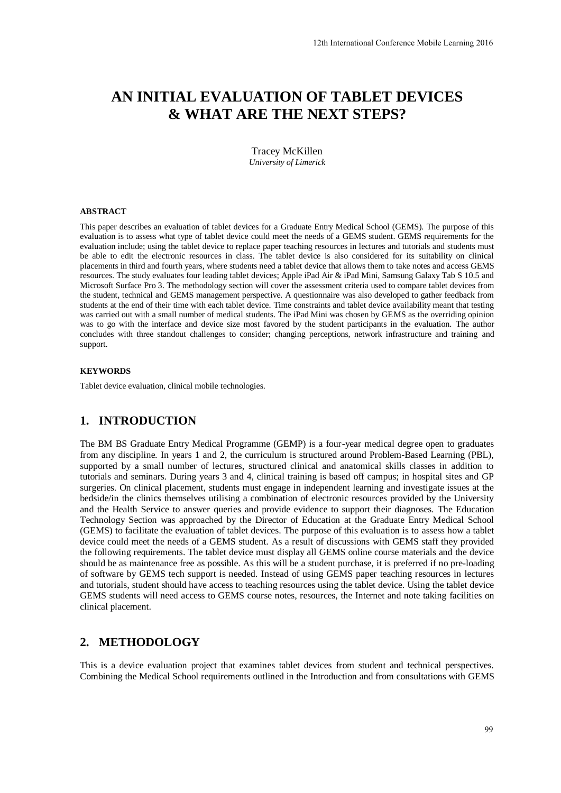# **AN INITIAL EVALUATION OF TABLET DEVICES & WHAT ARE THE NEXT STEPS?**

Tracey McKillen *University of Limerick* 

#### **ABSTRACT**

This paper describes an evaluation of tablet devices for a Graduate Entry Medical School (GEMS). The purpose of this evaluation is to assess what type of tablet device could meet the needs of a GEMS student. GEMS requirements for the evaluation include; using the tablet device to replace paper teaching resources in lectures and tutorials and students must be able to edit the electronic resources in class. The tablet device is also considered for its suitability on clinical placements in third and fourth years, where students need a tablet device that allows them to take notes and access GEMS resources. The study evaluates four leading tablet devices; Apple iPad Air & iPad Mini, Samsung Galaxy Tab S 10.5 and Microsoft Surface Pro 3. The methodology section will cover the assessment criteria used to compare tablet devices from the student, technical and GEMS management perspective. A questionnaire was also developed to gather feedback from students at the end of their time with each tablet device. Time constraints and tablet device availability meant that testing was carried out with a small number of medical students. The iPad Mini was chosen by GEMS as the overriding opinion was to go with the interface and device size most favored by the student participants in the evaluation. The author concludes with three standout challenges to consider; changing perceptions, network infrastructure and training and support.

#### **KEYWORDS**

Tablet device evaluation, clinical mobile technologies.

# **1. INTRODUCTION**

The BM BS Graduate Entry Medical Programme (GEMP) is a four-year medical degree open to graduates from any discipline. In years 1 and 2, the curriculum is structured around Problem-Based Learning (PBL), supported by a small number of lectures, structured clinical and anatomical skills classes in addition to tutorials and seminars. During years 3 and 4, clinical training is based off campus; in hospital sites and GP surgeries. On clinical placement, students must engage in independent learning and investigate issues at the bedside/in the clinics themselves utilising a combination of electronic resources provided by the University and the Health Service to answer queries and provide evidence to support their diagnoses. The Education Technology Section was approached by the Director of Education at the Graduate Entry Medical School (GEMS) to facilitate the evaluation of tablet devices. The purpose of this evaluation is to assess how a tablet device could meet the needs of a GEMS student. As a result of discussions with GEMS staff they provided the following requirements. The tablet device must display all GEMS online course materials and the device should be as maintenance free as possible. As this will be a student purchase, it is preferred if no pre-loading of software by GEMS tech support is needed. Instead of using GEMS paper teaching resources in lectures and tutorials, student should have access to teaching resources using the tablet device. Using the tablet device GEMS students will need access to GEMS course notes, resources, the Internet and note taking facilities on clinical placement. 12th International Conference Mobile Learning 2016<br> **DF TABLET DEVICES**<br> **VERY STEPS?**<br> **Entry Medical School (GEMS). The purpose of this set of a GEMS student. GEMS requirements for the state and toterals and students mus** 

# **2. METHODOLOGY**

This is a device evaluation project that examines tablet devices from student and technical perspectives. Combining the Medical School requirements outlined in the Introduction and from consultations with GEMS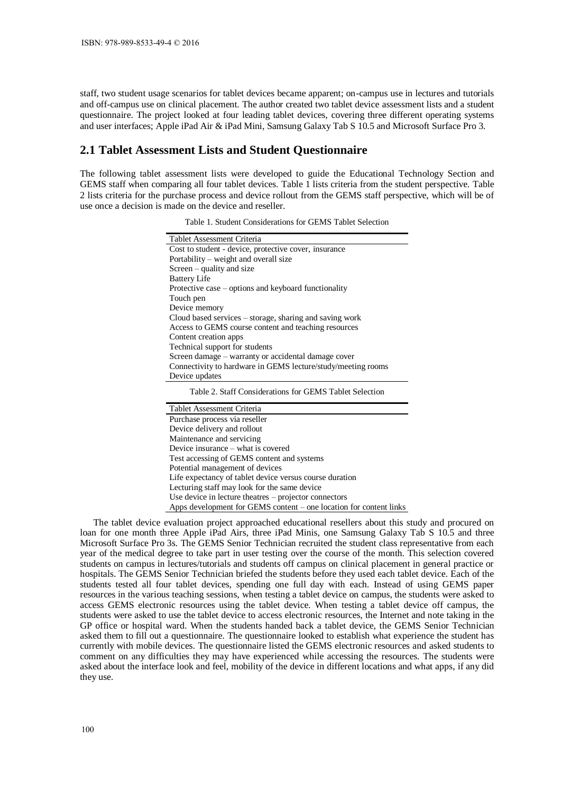staff, two student usage scenarios for tablet devices became apparent; on-campus use in lectures and tutorials and off-campus use on clinical placement. The author created two tablet device assessment lists and a student questionnaire. The project looked at four leading tablet devices, covering three different operating systems and user interfaces; Apple iPad Air & iPad Mini, Samsung Galaxy Tab S 10.5 and Microsoft Surface Pro 3.

## **2.1 Tablet Assessment Lists and Student Questionnaire**

The following tablet assessment lists were developed to guide the Educational Technology Section and GEMS staff when comparing all four tablet devices. Table 1 lists criteria from the student perspective. Table 2 lists criteria for the purchase process and device rollout from the GEMS staff perspective, which will be of use once a decision is made on the device and reseller.

| Tablet Assessment Criteria                                   |
|--------------------------------------------------------------|
| Cost to student - device, protective cover, insurance        |
| Portability – weight and overall size                        |
| Screen – quality and size                                    |
| <b>Battery Life</b>                                          |
| Protective case – options and keyboard functionality         |
| Touch pen                                                    |
| Device memory                                                |
| Cloud based services – storage, sharing and saving work      |
| Access to GEMS course content and teaching resources         |
| Content creation apps                                        |
| Technical support for students                               |
| Screen damage – warranty or accidental damage cover          |
| Connectivity to hardware in GEMS lecture/study/meeting rooms |
| Device updates                                               |
|                                                              |

Table 1. Student Considerations for GEMS Tablet Selection

Table 2. Staff Considerations for GEMS Tablet Selection

Tablet Assessment Criteria Purchase process via reseller Device delivery and rollout Maintenance and servicing Device insurance – what is covered Test accessing of GEMS content and systems Potential management of devices Life expectancy of tablet device versus course duration Lecturing staff may look for the same device Use device in lecture theatres – projector connectors Apps development for GEMS content – one location for content links

The tablet device evaluation project approached educational resellers about this study and procured on loan for one month three Apple iPad Airs, three iPad Minis, one Samsung Galaxy Tab S 10.5 and three Microsoft Surface Pro 3s. The GEMS Senior Technician recruited the student class representative from each year of the medical degree to take part in user testing over the course of the month. This selection covered students on campus in lectures/tutorials and students off campus on clinical placement in general practice or hospitals. The GEMS Senior Technician briefed the students before they used each tablet device. Each of the students tested all four tablet devices, spending one full day with each. Instead of using GEMS paper resources in the various teaching sessions, when testing a tablet device on campus, the students were asked to access GEMS electronic resources using the tablet device. When testing a tablet device off campus, the students were asked to use the tablet device to access electronic resources, the Internet and note taking in the GP office or hospital ward. When the students handed back a tablet device, the GEMS Senior Technician asked them to fill out a questionnaire. The questionnaire looked to establish what experience the student has currently with mobile devices. The questionnaire listed the GEMS electronic resources and asked students to comment on any difficulties they may have experienced while accessing the resources. The students were asked about the interface look and feel, mobility of the device in different locations and what apps, if any did they use.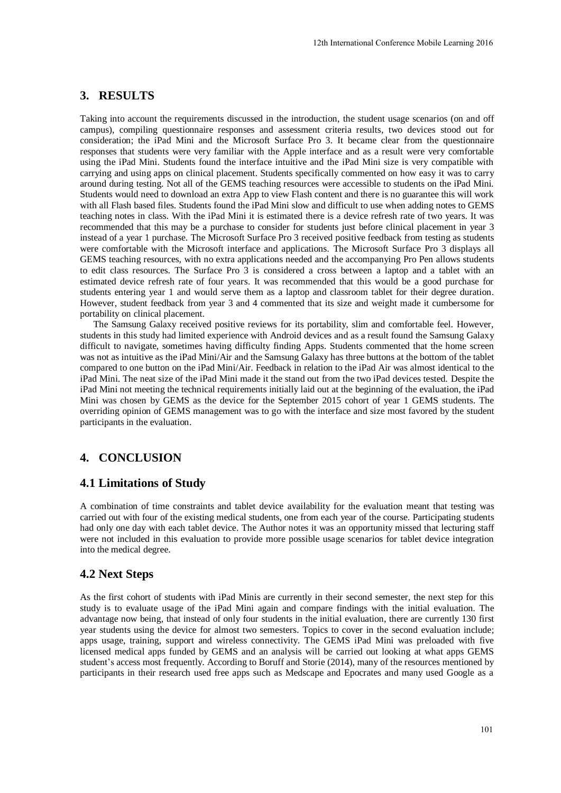# **3. RESULTS**

Taking into account the requirements discussed in the introduction, the student usage scenarios (on and off campus), compiling questionnaire responses and assessment criteria results, two devices stood out for consideration; the iPad Mini and the Microsoft Surface Pro 3. It became clear from the questionnaire responses that students were very familiar with the Apple interface and as a result were very comfortable using the iPad Mini. Students found the interface intuitive and the iPad Mini size is very compatible with carrying and using apps on clinical placement. Students specifically commented on how easy it was to carry around during testing. Not all of the GEMS teaching resources were accessible to students on the iPad Mini. Students would need to download an extra App to view Flash content and there is no guarantee this will work with all Flash based files. Students found the iPad Mini slow and difficult to use when adding notes to GEMS teaching notes in class. With the iPad Mini it is estimated there is a device refresh rate of two years. It was recommended that this may be a purchase to consider for students just before clinical placement in year 3 instead of a year 1 purchase. The Microsoft Surface Pro 3 received positive feedback from testing as students were comfortable with the Microsoft interface and applications. The Microsoft Surface Pro 3 displays all GEMS teaching resources, with no extra applications needed and the accompanying Pro Pen allows students to edit class resources. The Surface Pro 3 is considered a cross between a laptop and a tablet with an estimated device refresh rate of four years. It was recommended that this would be a good purchase for students entering year 1 and would serve them as a laptop and classroom tablet for their degree duration. However, student feedback from year 3 and 4 commented that its size and weight made it cumbersome for portability on clinical placement.

The Samsung Galaxy received positive reviews for its portability, slim and comfortable feel. However, students in this study had limited experience with Android devices and as a result found the Samsung Galaxy difficult to navigate, sometimes having difficulty finding Apps. Students commented that the home screen was not as intuitive as the iPad Mini/Air and the Samsung Galaxy has three buttons at the bottom of the tablet compared to one button on the iPad Mini/Air. Feedback in relation to the iPad Air was almost identical to the iPad Mini. The neat size of the iPad Mini made it the stand out from the two iPad devices tested. Despite the iPad Mini not meeting the technical requirements initially laid out at the beginning of the evaluation, the iPad Mini was chosen by GEMS as the device for the September 2015 cohort of year 1 GEMS students. The overriding opinion of GEMS management was to go with the interface and size most favored by the student participants in the evaluation.

# **4. CONCLUSION**

## **4.1 Limitations of Study**

A combination of time constraints and tablet device availability for the evaluation meant that testing was carried out with four of the existing medical students, one from each year of the course. Participating students had only one day with each tablet device. The Author notes it was an opportunity missed that lecturing staff were not included in this evaluation to provide more possible usage scenarios for tablet device integration into the medical degree.

#### **4.2 Next Steps**

As the first cohort of students with iPad Minis are currently in their second semester, the next step for this study is to evaluate usage of the iPad Mini again and compare findings with the initial evaluation. The advantage now being, that instead of only four students in the initial evaluation, there are currently 130 first year students using the device for almost two semesters. Topics to cover in the second evaluation include; apps usage, training, support and wireless connectivity. The GEMS iPad Mini was preloaded with five licensed medical apps funded by GEMS and an analysis will be carried out looking at what apps GEMS student's access most frequently. According to Boruff and Storie (2014), many of the resources mentioned by participants in their research used free apps such as Medscape and Epocrates and many used Google as a